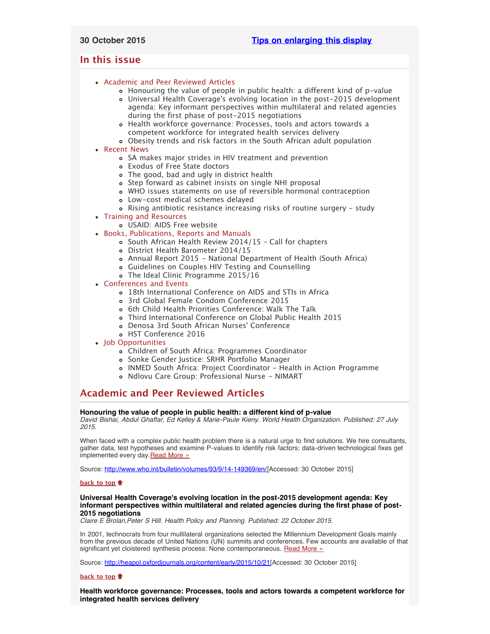# <span id="page-0-5"></span><span id="page-0-4"></span>**In this issue**

- [Academic and Peer Reviewed Articles](#page-0-0)
	- [Honouring the value of people in public health: a different kind of p-value](#page-0-1)
	- Universal Health Coverage['s evolving location in the post-2015 development](#page-0-2) [agenda: Key informant perspectives within multilateral and related agencies](#page-0-2) [during the first phase of post-2015 negotiations](#page-0-2)
	- [Health workforce governance: Processes, tools and actors towards a](#page-0-3) [competent workforce for integrated health services delivery](#page-0-3)
	- [Obesity trends and risk factors in the South African adult population](#page-1-0)
- [Recent News](#page-1-1)
	- [SA makes major strides in HIV treatment and prevention](#page-1-2)
	- [Exodus of Free State doctors](#page-1-3)
	- [The good, bad and ugly in district health](#page-1-4)
	- [Step forward as cabinet insists on single NHI proposal](#page-1-5)
	- [WHO issues statements on use of reversible hormonal contraception](#page-2-0)
	- [Low-cost medical schemes delayed](#page-1-6)
	- [Rising antibiotic resistance increasing risks of routine surgery study](#page-2-0)
- [Training and Resources](#page-2-1)
	- [USAID: AIDS Free website](#page-2-2)
- [Books, Publications, Reports and Manuals](#page-2-3)
	- [South African Health Review 2014/15 Call for chapters](#page-2-4) [District Health Barometer 2014/15](#page-2-5)
	- [Annual Report 2015 National Department of Health \(South Africa\)](#page-2-6)
	- [Guidelines on Couples HIV Testing and Counselling](#page-2-7)
	- [The Ideal Clinic Programme 2015/16](#page-2-6)
- [Conferences and Events](#page-3-0)
	- [18th International Conference on AIDS and STIs in Africa](#page-3-1)
	- [3rd Global Female Condom Conference 2015](#page-3-2)
	- [6th Child Health Priorities Conference: Walk The Talk](#page-3-3)
	- [Third International Conference on Global Public Health 2015](#page-3-4)
	- [Denosa 3rd South African Nurses](#page-3-5)' Conference
	- [HST Conference 2016](#page-3-5)
- [Job Opportunities](#page-0-4)
	- [Children of South Africa: Programmes Coordinator](#page-3-6)
	- [Sonke Gender Justice: SRHR Portfolio Manager](#page-4-0)
	- [INMED South Africa: Project Coordinator Health in Action Programme](#page-4-1)
	- [Ndlovu Care Group: Professional Nurse NIMART](#page-4-1)

# <span id="page-0-0"></span>**Academic and Peer Reviewed Articles**

# <span id="page-0-1"></span>**Honouring the value of people in public health: a different kind of p-value**

*David Bishai, Abdul Ghaffar, Ed Kelley & Marie-Paule Kieny. World Health Organization. Published: 27 July 2015.*

When faced with a complex public health problem there is a natural urge to find solutions. We hire consultants, gather data, test hypotheses and examine P-values to identify risk factors: data-driven technological fixes get implemented every day [Read More »](http://www.who.int/bulletin/volumes/93/9/14-149369/en/)

Source: <http://www.who.int/bulletin/volumes/93/9/14-149369/en/>[Accessed: 30 October 2015]

# **[back to top](#page-0-5)**

### <span id="page-0-2"></span>**Universal Health Coverage's evolving location in the post-2015 development agenda: Key informant perspectives within multilateral and related agencies during the first phase of post-2015 negotiations**

*Claire E Brolan,Peter S Hill. Health Policy and Planning. Published: 22 October 2015.*

In 2001, technocrats from four multilateral organizations selected the Millennium Development Goals mainly from the previous decade of United Nations (UN) summits and conferences. Few accounts are available of that significant yet cloistered synthesis process: None contemporaneous. [Read More »](http://heapol.oxfordjournals.org/content/early/2015/10/21/heapol.czv101.full.pdf+html)

Source: [http://heapol.oxfordjournals.org/content/early/2015/10/21\[](http://heapol.oxfordjournals.org/content/early/2015/10/21/heapol.czv101.full.pdf+html)Accessed: 30 October 2015]

#### **[back to top](#page-0-5)**

<span id="page-0-3"></span>**Health workforce governance: Processes, tools and actors towards a competent workforce for integrated health services delivery**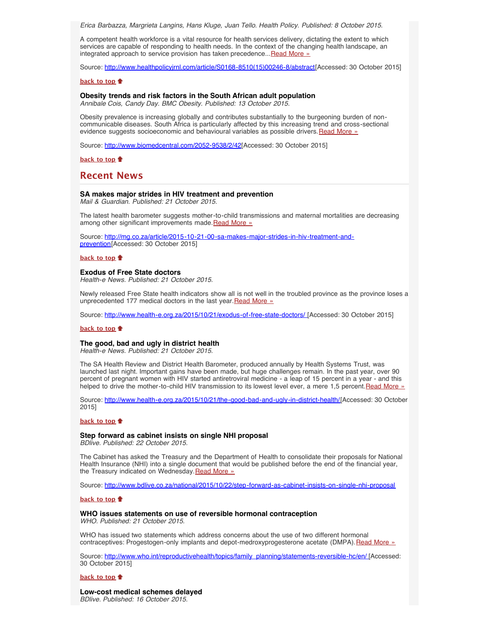*Erica Barbazza, Margrieta Langins, Hans Kluge, Juan Tello. Health Policy. Published: 8 October 2015.*

A competent health workforce is a vital resource for health services delivery, dictating the extent to which services are capable of responding to health needs. In the context of the changing health landscape, an integrated approach to service provision has taken precedence... [Read More »](http://www.healthpolicyjrnl.com/article/S0168-8510(15)00246-8/abstract)

Source: [http://www.healthpolicyjrnl.com/article/S0168-8510\(15\)00246-8/abstract](http://www.healthpolicyjrnl.com/article/S0168-8510(15)00246-8/abstract)[Accessed: 30 October 2015]

#### **[back to top](#page-0-5)**

#### <span id="page-1-0"></span>**Obesity trends and risk factors in the South African adult population**

*Annibale Cois, Candy Day. BMC Obesity. Published: 13 October 2015.*

Obesity prevalence is increasing globally and contributes substantially to the burgeoning burden of noncommunicable diseases. South Africa is particularly affected by this increasing trend and cross-sectional evidence suggests socioeconomic and behavioural variables as possible drivers. [Read More »](http://www.biomedcentral.com/2052-9538/2/42)

Source: [http://www.biomedcentral.com/2052-9538/2/42\[](http://www.biomedcentral.com/2052-9538/2/42)Accessed: 30 October 2015]

**[back to top](#page-0-5)**

# <span id="page-1-1"></span>**Recent News**

## <span id="page-1-2"></span>**SA makes major strides in HIV treatment and prevention**

*Mail & Guardian. Published: 21 October 2015.*

The latest health barometer suggests mother-to-child transmissions and maternal mortalities are decreasing among other significant improvements made.[Read More »](http://www.hst.org.za/news/sa-makes-major-strides-hiv-treatment-and-prevention)

Source: [http://mg.co.za/article/2015-10-21-00-sa-makes-major-strides-in-hiv-treatment-and](http://mg.co.za/article/2015-10-21-00-sa-makes-major-strides-in-hiv-treatment-and-prevention)[prevention](http://mg.co.za/article/2015-10-21-00-sa-makes-major-strides-in-hiv-treatment-and-prevention)[Accessed: 30 October 2015]

#### **[back to top](#page-0-5)**

#### <span id="page-1-3"></span>**Exodus of Free State doctors**

*Health-e News. Published: 21 October 2015.*

Newly released Free State health indicators show all is not well in the troubled province as the province loses a unprecedented 177 medical doctors in the last year. [Read More »](http://www.hst.org.za/news/exodus-free-state-doctors)

Source: [http://www.health-e.org.za/2015/10/21/exodus-of-free-state-doctors/ \[](http://www.health-e.org.za/2015/10/21/exodus-of-free-state-doctors/)Accessed: 30 October 2015]

#### **[back to top](#page-0-5)**

### <span id="page-1-4"></span>**The good, bad and ugly in district health**

*Health-e News. Published: 21 October 2015.*

The SA Health Review and District Health Barometer, produced annually by Health Systems Trust, was launched last night. Important gains have been made, but huge challenges remain. In the past year, over 90 percent of pregnant women with HIV started antiretroviral medicine - a leap of 15 percent in a year - and this helped to drive the mother-to-child HIV transmission to its lowest level ever, a mere 1,5 percent. [Read More »](http://www.hst.org.za/news/good-bad-and-ugly-district-health)

Source: [http://www.health-e.org.za/2015/10/21/the-good-bad-and-ugly-in-district-health/\[](http://www.health-e.org.za/2015/10/21/the-good-bad-and-ugly-in-district-health/)Accessed: 30 October 2015]

#### **[back to top](#page-0-5)**

# <span id="page-1-5"></span>**Step forward as cabinet insists on single NHI proposal**

*BDlive. Published: 22 October 2015.*

The Cabinet has asked the Treasury and the Department of Health to consolidate their proposals for National Health Insurance (NHI) into a single document that would be published before the end of the financial year, the Treasury indicated on Wednesday. [Read More »](http://www.hst.org.za/news/step-forward-cabinet-insists-single-nhi-proposal)

Source: <http://www.bdlive.co.za/national/2015/10/22/step-forward-as-cabinet-insists-on-single-nhi-proposal>

#### **[back to top](#page-0-5)**

# **WHO issues statements on use of reversible hormonal contraception**

*WHO. Published: 21 October 2015.*

WHO has issued two statements which address concerns about the use of two different hormonal contraceptives: Progestogen-only implants and depot-medroxyprogesterone acetate (DMPA). [Read More »](http://www.hst.org.za/news/who-issues-statements-use-reversible-hormonal-contraception)

Source: [http://www.who.int/reproductivehealth/topics/family\\_planning/statements-reversible-hc/en/ \[](http://www.hst.org.za/news/who-issues-statements-use-reversible-hormonal-contraception)Accessed: 30 October 2015]

### **[back to top](#page-0-5)**

<span id="page-1-6"></span>**Low-cost medical schemes delayed** *BDlive. Published: 16 October 2015.*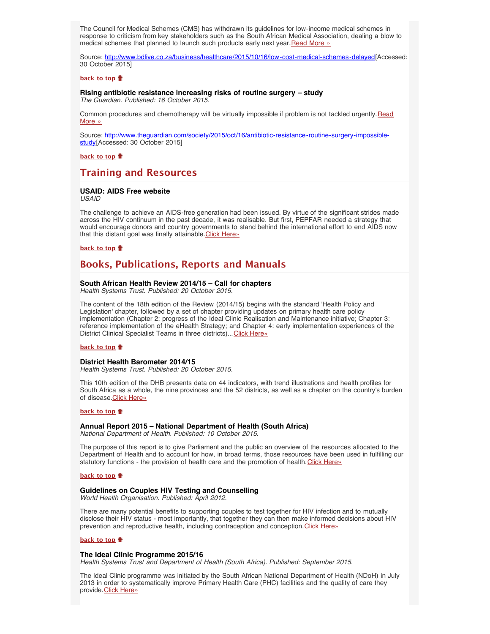The Council for Medical Schemes (CMS) has withdrawn its guidelines for low-income medical schemes in response to criticism from key stakeholders such as the South African Medical Association, dealing a blow to medical schemes that planned to launch such products early next year. [Read More »](http://www.hst.org.za/news/low-cost-medical-schemes-delayed)

Source: <http://www.bdlive.co.za/business/healthcare/2015/10/16/low-cost-medical-schemes-delayed>[Accessed: 30 October 2015]

# **[back to top](#page-0-5)**

<span id="page-2-0"></span>**Rising antibiotic resistance increasing risks of routine surgery – study** *The Guardian. Published: 16 October 2015.*

Common procedures and chemotherapy will be virtually impossible if problem is not tackled urgently. [Read](http://www.hst.org.za/news/rising-antibiotic-resistance-increasing-risks-routine-surgery-study) [More »](http://www.hst.org.za/news/rising-antibiotic-resistance-increasing-risks-routine-surgery-study)

Source: [http://www.theguardian.com/society/2015/oct/16/antibiotic-resistance-routine-surgery-impossible](http://www.theguardian.com/society/2015/oct/16/antibiotic-resistance-routine-surgery-impossible-study)[study](http://www.theguardian.com/society/2015/oct/16/antibiotic-resistance-routine-surgery-impossible-study)[Accessed: 30 October 2015]

**[back to top](#page-0-5)**

# <span id="page-2-1"></span>**Training and Resources**

#### <span id="page-2-2"></span>**USAID: AIDS Free website**

*USAID*

The challenge to achieve an AIDS-free generation had been issued. By virtue of the significant strides made across the HIV continuum in the past decade, it was realisable. But first, PEPFAR needed a strategy that would encourage donors and country governments to stand behind the international effort to end AIDS now that this distant goal was finally attainable. [Click Here»](https://aidsfree.usaid.gov/)

#### **[back to top](#page-0-5)**

# <span id="page-2-3"></span>**Books, Publications, Reports and Manuals**

#### <span id="page-2-4"></span>**South African Health Review 2014/15 – Call for chapters**

*Health Systems Trust. Published: 20 October 2015.*

The content of the 18th edition of the Review (2014/15) begins with the standard 'Health Policy and Legislation' chapter, followed by a set of chapter providing updates on primary health care policy implementation (Chapter 2: progress of the Ideal Clinic Realisation and Maintenance initiative; Chapter 3: reference implementation of the eHealth Strategy; and Chapter 4: early implementation experiences of the District Clinical Specialist Teams in three districts)... [Click Here»](http://www.hst.org.za/publications/south-african-health-review-201415)

#### **[back to top](#page-0-5)**

#### <span id="page-2-5"></span>**District Health Barometer 2014/15**

*Health Systems Trust. Published: 20 October 2015.*

This 10th edition of the DHB presents data on 44 indicators, with trend illustrations and health profiles for South Africa as a whole, the nine provinces and the 52 districts, as well as a chapter on the country's burden of disease. [Click Here»](http://www.hst.org.za/publications/district-health-barometer-201415-1)

#### **[back to top](#page-0-5)**

#### **Annual Report 2015 – National Department of Health (South Africa)**

*National Department of Health. Published: 10 October 2015.*

The purpose of this report is to give Parliament and the public an overview of the resources allocated to the Department of Health and to account for how, in broad terms, those resources have been used in fulfilling our statutory functions - the provision of health care and the promotion of health. [Click Here»](http://www.health.gov.za/index.php/2014-03-17-09-09-38/2014-03-17-09-24-31/category/239-ar2015)

### **[back to top](#page-0-5)**

#### <span id="page-2-7"></span>**Guidelines on Couples HIV Testing and Counselling**

*World Health Organisation. Published: April 2012.*

There are many potential benefits to supporting couples to test together for HIV infection and to mutually disclose their HIV status - most importantly, that together they can then make informed decisions about HIV prevention and reproductive health, including contraception and conception. [Click Here»](http://apps.who.int/iris/bitstream/10665/44646/1/9789241501972_eng.pdf)

#### **[back to top](#page-0-5)**

## <span id="page-2-6"></span>**The Ideal Clinic Programme 2015/16**

*Health Systems Trust and Department of Health (South Africa). Published: September 2015.*

The Ideal Clinic programme was initiated by the South African National Department of Health (NDoH) in July 2013 in order to systematically improve Primary Health Care (PHC) facilities and the quality of care they provide. [Click Here»](http://www.hst.org.za/publications/ideal-clinic-programme-201516)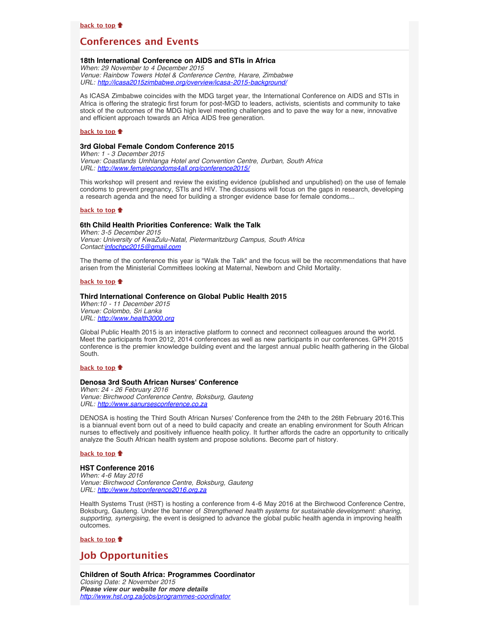# **Conferences and Events**

# <span id="page-3-1"></span>**18th International Conference on AIDS and STIs in Africa**

*When: 29 November to 4 December 2015 Venue: Rainbow Towers Hotel & Conference Centre, Harare, Zimbabwe URL: <http://icasa2015zimbabwe.org/overview/icasa-2015-background/>*

As ICASA Zimbabwe coincides with the MDG target year, the International Conference on AIDS and STIs in Africa is offering the strategic first forum for post-MGD to leaders, activists, scientists and community to take stock of the outcomes of the MDG high level meeting challenges and to pave the way for a new, innovative and efficient approach towards an Africa AIDS free generation.

### **[back to top](#page-0-5)**

# <span id="page-3-2"></span>**3rd Global Female Condom Conference 2015**

*When: 1 - 3 December 2015 Venue: Coastlands Umhlanga Hotel and Convention Centre, Durban, South Africa URL: [http://www.femalecondoms4all.org/conference2015/](http://www.femalecondoms4all.org/conference2015/conference-programme)*

This workshop will present and review the existing evidence (published and unpublished) on the use of female condoms to prevent pregnancy, STIs and HIV. The discussions will focus on the gaps in research, developing a research agenda and the need for building a stronger evidence base for female condoms...

#### **[back to top](#page-0-5)**

# <span id="page-3-3"></span>**6th Child Health Priorities Conference: Walk the Talk**

*When: 3-5 December 2015 Venue: University of KwaZulu-Natal, Pietermaritzburg Campus, South Africa Contact:[infochpc2015@gmail.com](mailto:infochpc2015@gmail.com)*

The theme of the conference this year is "Walk the Talk" and the focus will be the recommendations that have arisen from the Ministerial Committees looking at Maternal, Newborn and Child Mortality.

#### **[back to top](#page-0-5)**

#### <span id="page-3-4"></span>**Third International Conference on Global Public Health 2015**

*When:10 - 11 December 2015 Venue: Colombo, Sri Lanka URL: [http://www.health3000.org](http://www.health3000.org/)*

Global Public Health 2015 is an interactive platform to connect and reconnect colleagues around the world. Meet the participants from 2012, 2014 conferences as well as new participants in our conferences. GPH 2015 conference is the premier knowledge building event and the largest annual public health gathering in the Global South.

#### **[back to top](#page-0-5)**

## **Denosa 3rd South African Nurses' Conference**

*When: 24 - 26 February 2016 Venue: Birchwood Conference Centre, Boksburg, Gauteng URL: [http://www.sanursesconference.co.za](http://www.sanursesconference.co.za/)*

DENOSA is hosting the Third South African Nurses' Conference from the 24th to the 26th February 2016.This is a biannual event born out of a need to build capacity and create an enabling environment for South African nurses to effectively and positively influence health policy. It further affords the cadre an opportunity to critically analyze the South African health system and propose solutions. Become part of history.

#### **[back to top](#page-0-5)**

#### <span id="page-3-5"></span>**HST Conference 2016**

*When: 4-6 May 2016 Venue: Birchwood Conference Centre, Boksburg, Gauteng URL: [http://www.hstconference2016.org.za](http://www.hstconference2016.org.za/)*

Health Systems Trust (HST) is hosting a conference from 4-6 May 2016 at the Birchwood Conference Centre, Boksburg, Gauteng. Under the banner of *Strengthened health systems for sustainable development: sharing, supporting, synergising*, the event is designed to advance the global public health agenda in improving health outcomes.

**[back to top](#page-0-5)**

# <span id="page-3-0"></span>**Job Opportunities**

<span id="page-3-6"></span>**Children of South Africa: Programmes Coordinator** *Closing Date: 2 November 2015 Please view our website for more details <http://www.hst.org.za/jobs/programmes-coordinator>*